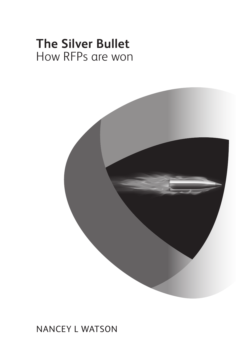# **The Silver Bullet** How RFPs are won



### **NANCEY L WATSON**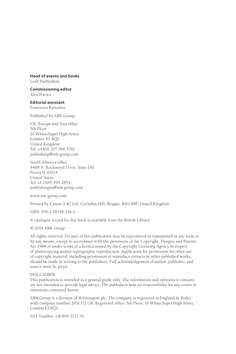#### **Head of events and books**

Leah Darbyshire

**Commissioning editor** Alex Davies

**Editorial assistant** Francesca Ramadan

Published by ARK Group:

UK, Europe and Asia office 5th Floor 10 Whitechapel High Street London, E1 8QS United Kingdom Tel: +44(0) 207 566 5792 publishing@ark-group.com

North America office 4408 N. Rockwood Drive, Suite 150 Peoria IL 61614 United States Tel: +1 (309) 495 2853 publishingna@ark-group.com

www.ark-group.com

Printed by Canon (UK) Ltd, Cockshot Hill, Reigate, RH2 8BF, United Kingdom

ISBN: 978-1-78358-336-2

A catalogue record for this book is available from the British Library

© 2018 ARK Group

All rights reserved. No part of this publication may be reproduced or transmitted in any form or by any means, except in accordance with the provisions of the Copyright, Designs and Patents Act 1988 or under terms of a licence issued by the Copyright Licencing Agency in respect of photocopying and/or reprographic reproduction. Application for permission for other use of copyright material, including permission to reproduce extracts in other published works, should be made in writing to the publishers. Full acknowledgement of author, publisher, and source must be given.

#### DISCLAIMER

This publication is intended as a general guide only. The information and opinions it contains are not intended to provide legal advice. The publishers bear no responsibility for any errors or omissions contained herein.

ARK Group is a division of Wilmington plc. The company is registered in England & Wales with company number 2931372 GB. Registered office: 5th Floor, 10 Whitechapel High Street, London E1 8QS.

VAT Number: GB 899 3725 51.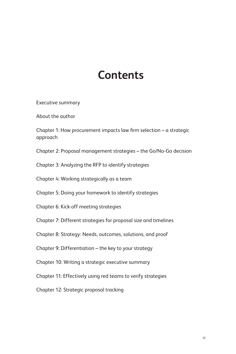## **Contents**

Executive summary

About the author

Chapter 1: How procurement impacts law firm selection – a strategic approach

Chapter 2: Proposal management strategies – the Go/No-Go decision

Chapter 3: Analyzing the RFP to identify strategies

Chapter 4: Working strategically as a team

Chapter 5: Doing your homework to identify strategies

Chapter 6: Kick-off meeting strategies

Chapter 7: Different strategies for proposal size and timelines

Chapter 8: Strategy: Needs, outcomes, solutions, and proof

Chapter 9: Differentiation – the key to your strategy

Chapter 10: Writing a strategic executive summary

Chapter 11: Effectively using red teams to verify strategies

Chapter 12: Strategic proposal tracking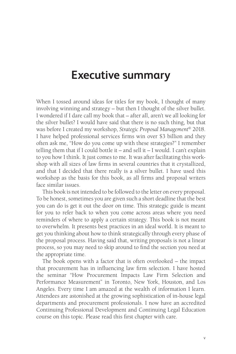## **Executive summary**

When I tossed around ideas for titles for my book, I thought of many involving winning and strategy – but then I thought of the silver bullet. I wondered if I dare call my book that – after all, aren't we all looking for the silver bullet? I would have said that there is no such thing, but that was before I created my workshop, *Strategic Proposal Management*© 2018. I have helped professional services firms win over \$3 billion and they often ask me, "How do you come up with these strategies?" I remember telling them that if I could bottle it – and sell it – I would. I can't explain to you how I think. It just comes to me. It was after facilitating this workshop with all sizes of law firms in several countries that it crystallized, and that I decided that there really is a silver bullet. I have used this workshop as the basis for this book, as all firms and proposal writers face similar issues.

This book is not intended to be followed to the letter on every proposal. To be honest, sometimes you are given such a short deadline that the best you can do is get it out the door on time. This strategic guide is meant for you to refer back to when you come across areas where you need reminders of where to apply a certain strategy. This book is not meant to overwhelm. It presents best practices in an ideal world. It is meant to get you thinking about how to think strategically through every phase of the proposal process. Having said that, writing proposals is not a linear process, so you may need to skip around to find the section you need at the appropriate time.

The book opens with a factor that is often overlooked – the impact that procurement has in influencing law firm selection. I have hosted the seminar "How Procurement Impacts Law Firm Selection and Performance Measurement" in Toronto, New York, Houston, and Los Angeles. Every time I am amazed at the wealth of information I learn. Attendees are astonished at the growing sophistication of in-house legal departments and procurement professionals. I now have an accredited Continuing Professional Development and Continuing Legal Education course on this topic. Please read this first chapter with care.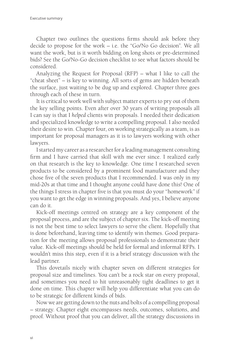Chapter two outlines the questions firms should ask before they decide to propose for the work – i.e. the "Go/No Go decision". We all want the work, but is it worth bidding on long shots or pre-determined bids? See the Go/No-Go decision checklist to see what factors should be considered.

Analyzing the Request for Proposal (RFP) – what I like to call the "cheat sheet" – is key to winning. All sorts of gems are hidden beneath the surface, just waiting to be dug up and explored. Chapter three goes through each of these in turn.

It is critical to work well with subject matter experts to pry out of them the key selling points. Even after over 30 years of writing proposals all I can say is that I *helped* clients win proposals. I needed their dedication and specialized knowledge to write a compelling proposal. I also needed their desire to win. Chapter four, on working strategically as a team, is as important for proposal managers as it is to lawyers working with other lawyers.

I started my career as a researcher for a leading management consulting firm and I have carried that skill with me ever since. I realized early on that research is the key to knowledge. One time I researched seven products to be considered by a prominent food manufacturer and they chose five of the seven products that I recommended. I was only in my mid-20s at that time and I thought anyone could have done this! One of the things I stress in chapter five is that you must do your "homework" if you want to get the edge in winning proposals. And yes, I believe anyone can do it.

Kick-off meetings centred on strategy are a key component of the proposal process, and are the subject of chapter six. The kick-off meeting is not the best time to select lawyers to serve the client. Hopefully that is done beforehand, leaving time to identify win themes. Good preparation for the meeting allows proposal professionals to demonstrate their value. Kick-off meetings should be held for formal and informal RFPs. I wouldn't miss this step, even if it is a brief strategy discussion with the lead partner.

This dovetails nicely with chapter seven on different strategies for proposal size and timelines. You can't be a rock star on every proposal, and sometimes you need to hit unreasonably tight deadlines to get it done on time. This chapter will help you differentiate what you can do to be strategic for different kinds of bids.

Now we are getting down to the nuts and bolts of a compelling proposal – strategy. Chapter eight encompasses needs, outcomes, solutions, and proof. Without proof that you can deliver, all the strategy discussions in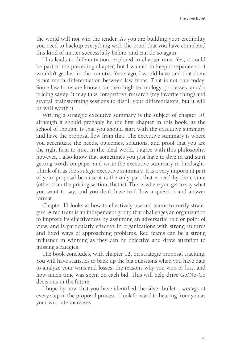the world will not win the tender. As you are building your credibility you need to backup everything with the proof that you have completed this kind of matter successfully before, and can do so again.

This leads to differentiation, explored in chapter nine. Yes, it could be part of the preceding chapter, but I wanted to keep it separate so it wouldn't get lost in the minutia. Years ago, I would have said that there is not much differentiation between law firms. That is not true today. Some law firms are known for their high technology, processes, and/or pricing savvy. It may take competitive research (my favorite thing) and several brainstorming sessions to distill your differentiators, but it will be well worth it.

Writing a strategic executive summary is the subject of chapter 10, although it should probably be the first chapter in this book, as the school of thought is that you should start with the executive summary and have the proposal flow from that. The executive summary is where you accentuate the needs, outcomes, solutions, and proof that you are the right firm to hire. In the ideal world, I agree with this philosophy; however, I also know that sometimes you just have to dive in and start getting words on paper and write the executive summary in hindsight. Think of it as the *strategic* executive summary. It is a very important part of your proposal because it is the only part that is read by the c-suite (other than the pricing section, that is). This is where you get to say what you want to say, and you don't have to follow a question and answer format.

Chapter 11 looks at how to effectively use red teams to verify strategies. A red team is an independent group that challenges an organization to improve its effectiveness by assuming an adversarial role or point of view, and is particularly effective in organizations with strong cultures and fixed ways of approaching problems. Red teams can be a strong influence in winning as they can be objective and draw attention to missing strategies.

The book concludes, with chapter 12, on strategic proposal tracking. You will have statistics to back up the big questions when you have data to analyze your wins and losses, the reasons why you won or lost, and how much time was spent on each bid. This will help drive Go/No-Go decisions in the future.

I hope by now that you have identified the silver bullet – *strategy* at every step in the proposal process. I look forward to hearing from you as your win rate increases.